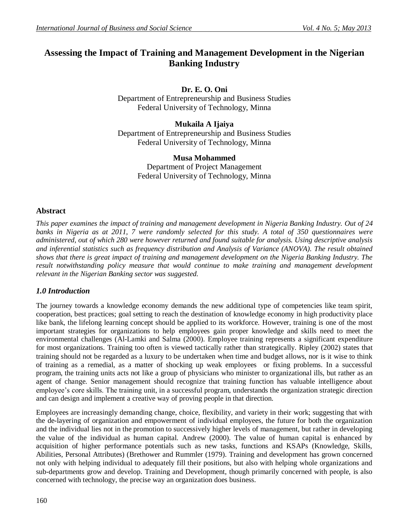# **Assessing the Impact of Training and Management Development in the Nigerian Banking Industry**

**Dr. E. O. Oni** Department of Entrepreneurship and Business Studies Federal University of Technology, Minna

**Mukaila A Ijaiya** Department of Entrepreneurship and Business Studies Federal University of Technology, Minna

> **Musa Mohammed** Department of Project Management Federal University of Technology, Minna

# **Abstract**

*This paper examines the impact of training and management development in Nigeria Banking Industry. Out of 24 banks in Nigeria as at 2011, 7 were randomly selected for this study. A total of 350 questionnaires were administered, out of which 280 were however returned and found suitable for analysis. Using descriptive analysis and inferential statistics such as frequency distribution and Analysis of Variance (ANOVA). The result obtained shows that there is great impact of training and management development on the Nigeria Banking Industry. The result notwithstanding policy measure that would continue to make training and management development relevant in the Nigerian Banking sector was suggested.*

# *1.0 Introduction*

The journey towards a knowledge economy demands the new additional type of competencies like team spirit, cooperation, best practices; goal setting to reach the destination of knowledge economy in high productivity place like bank, the lifelong learning concept should be applied to its workforce. However, training is one of the most important strategies for organizations to help employees gain proper knowledge and skills need to meet the environmental challenges (Al-Lamki and Salma (2000). Employee training represents a significant expenditure for most organizations. Training too often is viewed tactically rather than strategically. Ripley (2002) states that training should not be regarded as a luxury to be undertaken when time and budget allows, nor is it wise to think of training as a remedial, as a matter of shocking up weak employees or fixing problems. In a successful program, the training units acts not like a group of physicians who minister to organizational ills, but rather as an agent of change. Senior management should recognize that training function has valuable intelligence about employee's core skills. The training unit, in a successful program, understands the organization strategic direction and can design and implement a creative way of proving people in that direction.

Employees are increasingly demanding change, choice, flexibility, and variety in their work; suggesting that with the de-layering of organization and empowerment of individual employees, the future for both the organization and the individual lies not in the promotion to successively higher levels of management, but rather in developing the value of the individual as human capital. Andrew (2000). The value of human capital is enhanced by acquisition of higher performance potentials such as new tasks, functions and KSAPs (Knowledge, Skills, Abilities, Personal Attributes) (Brethower and Rummler (1979). Training and development has grown concerned not only with helping individual to adequately fill their positions, but also with helping whole organizations and sub-departments grow and develop. Training and Development, though primarily concerned with people, is also concerned with technology, the precise way an organization does business.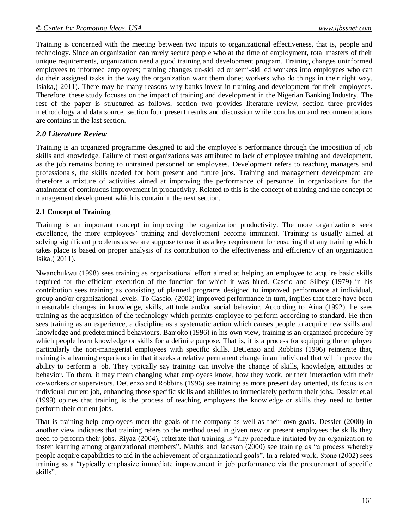Training is concerned with the meeting between two inputs to organizational effectiveness, that is, people and technology. Since an organization can rarely secure people who at the time of employment, total masters of their unique requirements, organization need a good training and development program. Training changes uninformed employees to informed employees; training changes un-skilled or semi-skilled workers into employees who can do their assigned tasks in the way the organization want them done; workers who do things in their right way. Isiaka,( 2011). There may be many reasons why banks invest in training and development for their employees. Therefore, these study focuses on the impact of training and development in the Nigerian Banking Industry. The rest of the paper is structured as follows, section two provides literature review, section three provides methodology and data source, section four present results and discussion while conclusion and recommendations are contains in the last section.

## *2.0 Literature Review*

Training is an organized programme designed to aid the employee"s performance through the imposition of job skills and knowledge. Failure of most organizations was attributed to lack of employee training and development, as the job remains boring to untrained personnel or employees. Development refers to teaching managers and professionals, the skills needed for both present and future jobs. Training and management development are therefore a mixture of activities aimed at improving the performance of personnel in organizations for the attainment of continuous improvement in productivity. Related to this is the concept of training and the concept of management development which is contain in the next section.

### **2.1 Concept of Training**

Training is an important concept in improving the organization productivity. The more organizations seek excellence, the more employees" training and development become imminent. Training is usually aimed at solving significant problems as we are suppose to use it as a key requirement for ensuring that any training which takes place is based on proper analysis of its contribution to the effectiveness and efficiency of an organization Isika,( 2011).

Nwanchukwu (1998) sees training as organizational effort aimed at helping an employee to acquire basic skills required for the efficient execution of the function for which it was hired. Cascio and Silbey (1979) in his contribution sees training as consisting of planned programs designed to improved performance at individual, group and/or organizational levels. To Cascio, (2002) improved performance in turn, implies that there have been measurable changes in knowledge, skills, attitude and/or social behavior. According to Aina (1992), he sees training as the acquisition of the technology which permits employee to perform according to standard. He then sees training as an experience, a discipline as a systematic action which causes people to acquire new skills and knowledge and predetermined behaviours. Banjoko (1996) in his own view, training is an organized procedure by which people learn knowledge or skills for a definite purpose. That is, it is a process for equipping the employee particularly the non-managerial employees with specific skills. DeCenzo and Robbins (1996) reinterate that, training is a learning experience in that it seeks a relative permanent change in an individual that will improve the ability to perform a job. They typically say training can involve the change of skills, knowledge, attitudes or behavior. To them, it may mean changing what employees know, how they work, or their interaction with their co-workers or supervisors. DeCenzo and Robbins (1996) see training as more present day oriented, its focus is on individual current job, enhancing those specific skills and abilities to immediately perform their jobs. Dessler et.al (1999) opines that training is the process of teaching employees the knowledge or skills they need to better perform their current jobs.

That is training help employees meet the goals of the company as well as their own goals. Dessler (2000) in another view indicates that training refers to the method used in given new or present employees the skills they need to perform their jobs. Riyaz (2004), reiterate that training is "any procedure initiated by an organization to foster learning among organizational members". Mathis and Jackson (2000) see training as "a process whereby people acquire capabilities to aid in the achievement of organizational goals". In a related work, Stone (2002) sees training as a "typically emphasize immediate improvement in job performance via the procurement of specific skills".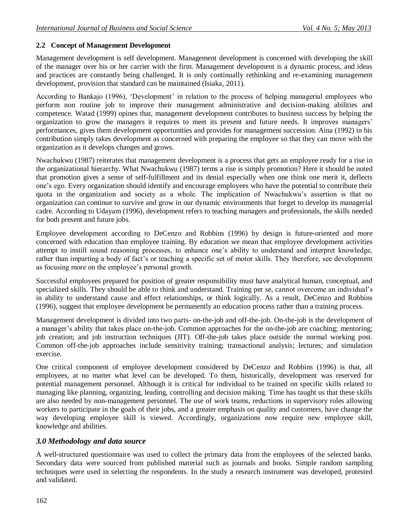# **2.2 Concept of Management Development**

Management development is self development. Management development is concerned with developing the skill of the manager over his or her carrier with the firm. Management development is a dynamic process, and ideas and practices are constantly being challenged. It is only continually rethinking and re-examining management development, provision that standard can be maintained (Isiaka, 2011).

According to Bankajo (1996), "Development" in relation to the process of helping managerial employees who perform non routine job to improve their management administrative and decision-making abilities and competence. Watad (1999) opines that, management development contributes to business success by helping the organization to grow the managers it requires to meet its present and future needs. It improves managers" performances, gives them development opportunities and provides for management succession. Aina (1992) in his contribution simply takes development as concerned with preparing the employee so that they can move with the organization as it develops changes and grows.

Nwachukwu (1987) reiterates that management development is a process that gets an employee ready for a rise in the organizational hierarchy. What Nwachukwu (1987) terms a rise is simply promotion? Here it should be noted that promotion gives a sense of self-fulfillment and its denial especially when one think one merit it, deflects one"s ego. Every organization should identify and encourage employees who have the potential to contribute their quota in the organization and society as a whole. The implication of Nwachukwu"s assertion is that no organization can continue to survive and grow in our dynamic environments that forget to develop its managerial cadre. According to Udayam (1996), development refers to teaching managers and professionals, the skills needed for both present and future jobs.

Employee development according to DeCenzo and Robbins (1996) by design is future-oriented and more concerned with education than employee training. By education we mean that employee development activities attempt to instill sound reasoning processes, to enhance one"s ability to understand and interpret knowledge, rather than imparting a body of fact"s or teaching a specific set of motor skills. They therefore, see development as focusing more on the employee"s personal growth.

Successful employees prepared for position of greater responsibility must have analytical human, conceptual, and specialized skills. They should be able to think and understand. Training per se, cannot overcome an individual"s in ability to understand cause and effect relationships, or think logically. As a result, DeCenzo and Robbins (1996), suggest that employee development be permanently an education process rather than a training process.

Management development is divided into two parts- on-the-job and off-the-job. On-the-job is the development of a manager's ability that takes place on-the-job. Common approaches for the on-the-job are coaching; mentoring; job creation; and job instruction techniques (JIT). Off-the-job takes place outside the normal working post. Common off-the-job approaches include sensitivity training; transactional analysis; lectures; and simulation exercise.

One critical component of employee development considered by DeCenzo and Robbins (1996) is that, all employees, at no matter what level can be developed. To them, historically, development was reserved for potential management personnel. Although it is critical for individual to be trained on specific skills related to managing like planning, organizing, leading, controlling and decision making. Time has taught us that these skills are also needed by non-management personnel. The use of work teams, reductions in supervisory roles allowing workers to participate in the goals of their jobs, and a greater emphasis on quality and customers, have change the way developing employee skill is viewed. Accordingly, organizations now require new employee skill, knowledge and abilities.

# *3.0 Methodology and data source*

A well-structured questionnaire was used to collect the primary data from the employees of the selected banks. Secondary data were sourced from published material such as journals and books. Simple random sampling techniques were used in selecting the respondents. In the study a research instrument was developed, protested and validated.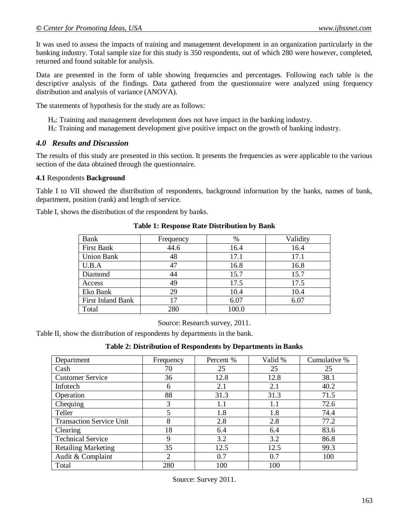It was used to assess the impacts of training and management development in an organization particularly in the banking industry. Total sample size for this study is 350 respondents, out of which 280 were however, completed, returned and found suitable for analysis.

Data are presented in the form of table showing frequencies and percentages. Following each table is the descriptive analysis of the findings. Data gathered from the questionnaire were analyzed using frequency distribution and analysis of variance (ANOVA).

The statements of hypothesis for the study are as follows:

Ho: Training and management development does not have impact in the banking industry.

HI: Training and management development give positive impact on the growth of banking industry.

## *4.0 Results and Discussion*

The results of this study are presented in this section. It presents the frequencies as were applicable to the various section of the data obtained through the questionnaire.

#### **4.1** Respondents **Background**

Table I to VII showed the distribution of respondents, background information by the banks, names of bank, department, position (rank) and length of service.

Table I, shows the distribution of the respondent by banks.

| Bank              | Frequency | %     | Validity |
|-------------------|-----------|-------|----------|
| <b>First Bank</b> | 44.6      | 16.4  | 16.4     |
| <b>Union Bank</b> | 48        | 17.1  | 17.1     |
| U.B.A             | 47        | 16.8  | 16.8     |
| Diamond           | 44        | 15.7  | 15.7     |
| Access            | 49        | 17.5  | 17.5     |
| Eko Bank          | 29        | 10.4  | 10.4     |
| First Inland Bank | 17        | 6.07  | 6.07     |
| Total             | 280       | 100.0 |          |

### **Table 1: Response Rate Distribution by Bank**

Source: Research survey, 2011.

Table II, show the distribution of respondents by departments in the bank.

### **Table 2: Distribution of Respondents by Departments in Banks**

| Department                      | Frequency      | Percent % | Valid % | Cumulative % |
|---------------------------------|----------------|-----------|---------|--------------|
| Cash                            | 70             | 25        | 25      | 25           |
| <b>Customer Service</b>         | 36             | 12.8      | 12.8    | 38.1         |
| Infotech                        | 6              | 2.1       | 2.1     | 40.2         |
| Operation                       | 88             | 31.3      | 31.3    | 71.5         |
| Chequing                        | 3              | 1.1       | 1.1     | 72.6         |
| Teller                          | 5              | 1.8       | 1.8     | 74.4         |
| <b>Transaction Service Unit</b> | 8              | 2.8       | 2.8     | 77.2         |
| Clearing                        | 18             | 6.4       | 6.4     | 83.6         |
| <b>Technical Service</b>        | 9              | 3.2       | 3.2     | 86.8         |
| <b>Retailing Marketing</b>      | 35             | 12.5      | 12.5    | 99.3         |
| Audit & Complaint               | $\overline{2}$ | 0.7       | 0.7     | 100          |
| Total                           | 280            | 100       | 100     |              |

Source: Survey 2011.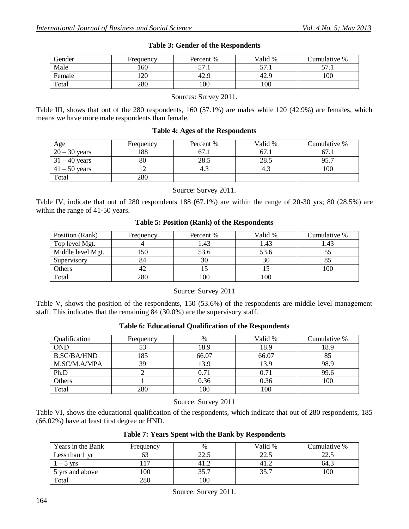| Gender | Frequency | Percent %  | Valid %    | Cumulative % |
|--------|-----------|------------|------------|--------------|
| Male   | .60       | 57<br>. .  | 57<br>JI.L | . .          |
| Female | 120       | 42.<br>-C) | 42.9       | 100          |
| Total  | 280       | 100        | 100        |              |

### **Table 3: Gender of the Respondents**

#### Sources: Survey 2011.

Table III, shows that out of the 280 respondents, 160 (57.1%) are males while 120 (42.9%) are females, which means we have more male respondents than female.

| Age             | Frequency | Percent % | Valid % | Cumulative % |
|-----------------|-----------|-----------|---------|--------------|
| $20 - 30$ years | 188       |           | 67.     |              |
| $31 - 40$ years | 80        | 28.5      | 28.5    | 95.7         |
| $41 - 50$ years |           |           | 4.      | 00           |
| Total           | 280       |           |         |              |

#### **Table 4: Ages of the Respondents**

#### Source: Survey 2011.

Table IV, indicate that out of 280 respondents 188 (67.1%) are within the range of 20-30 yrs; 80 (28.5%) are within the range of 41-50 years.

| Position (Rank)   | Frequency | Percent % | Valid % | Cumulative % |
|-------------------|-----------|-----------|---------|--------------|
| Top level Mgt.    |           | l.43      | 1.43    |              |
| Middle level Mgt. | 50        | 53.6      | 53.6    |              |
| Supervisory       | 84        | 30        | 30      |              |
| Others            | 42        |           |         |              |
| Total             | 280       | 100       | 100     |              |

#### **Table 5: Position (Rank) of the Respondents**

#### Source: Survey 2011

Table V, shows the position of the respondents, 150 (53.6%) of the respondents are middle level management staff. This indicates that the remaining 84 (30.0%) are the supervisory staff.

#### **Table 6: Educational Qualification of the Respondents**

| Qualification      | Frequency | $\%$  | Valid % | Cumulative % |
|--------------------|-----------|-------|---------|--------------|
| <b>OND</b>         | 53        | 18.9  | 18.9    | 18.9         |
| <b>B.SC/BA/HND</b> | 185       | 66.07 | 66.07   |              |
| M.SC/M.A/MPA       | 39        | 13.9  | 13.9    | 98.9         |
| Ph.D               |           | 0.71  | 0.71    | 99.6         |
| Others             |           | 0.36  | 0.36    | 100          |
| Total              | 280       | 100   | 100     |              |

#### Source: Survey 2011

Table VI, shows the educational qualification of the respondents, which indicate that out of 280 respondents, 185 (66.02%) have at least first degree or HND.

| Years in the Bank | Frequency | $\%$ | Valid % | Cumulative % |
|-------------------|-----------|------|---------|--------------|
| Less than 1 yr    |           | ∩∩   |         |              |
| $-5$ vrs          | 17        |      |         | 64.3         |
| 5 yrs and above   | 100       | າະ   | つぐ      | 100          |
| Total             | 280       | .00  |         |              |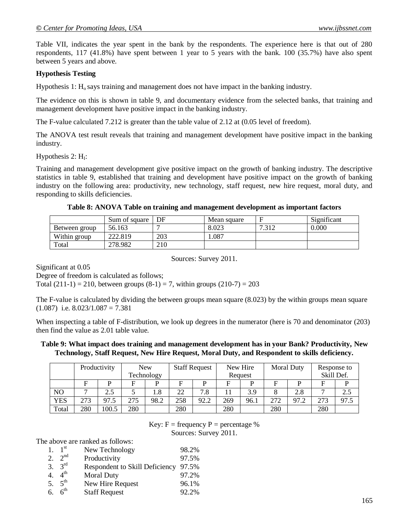Table VII, indicates the year spent in the bank by the respondents. The experience here is that out of 280 respondents, 117 (41.8%) have spent between 1 year to 5 years with the bank. 100 (35.7%) have also spent between 5 years and above.

### **Hypothesis Testing**

Hypothesis 1:  $H_0$  says training and management does not have impact in the banking industry.

The evidence on this is shown in table 9, and documentary evidence from the selected banks, that training and management development have positive impact in the banking industry.

The F-value calculated 7.212 is greater than the table value of 2.12 at (0.05 level of freedom).

The ANOVA test result reveals that training and management development have positive impact in the banking industry.

Hypothesis  $2: H<sub>I</sub>:$ 

Training and management development give positive impact on the growth of banking industry. The descriptive statistics in table 9, established that training and development have positive impact on the growth of banking industry on the following area: productivity, new technology, staff request, new hire request, moral duty, and responding to skills deficiencies.

| Table 8: ANOVA Table on training and management development as important factors |  |  |
|----------------------------------------------------------------------------------|--|--|
|                                                                                  |  |  |

|               | Sum of square | DF  | Mean square |       | Significant |
|---------------|---------------|-----|-------------|-------|-------------|
| Between group | 56.163        |     | 8.023       | 7.312 | 0.000       |
| Within group  | 222.819       | 203 | .087        |       |             |
| Total         | 278.982       | 210 |             |       |             |

Sources: Survey 2011.

Significant at 0.05

Degree of freedom is calculated as follows;

Total  $(211-1) = 210$ , between groups  $(8-1) = 7$ , within groups  $(210-7) = 203$ 

The F-value is calculated by dividing the between groups mean square (8.023) by the within groups mean square  $(1.087)$  i.e.  $8.023/1.087 = 7.381$ 

When inspecting a table of F-distribution, we look up degrees in the numerator (here is 70 and denominator (203) then find the value as 2.01 table value.

#### **Table 9: What impact does training and management development has in your Bank? Productivity, New Technology, Staff Request, New Hire Request, Moral Duty, and Respondent to skills deficiency.**

|                |     | Productivity |     | <b>New</b><br>Technology |     | <b>Staff Request</b> |     | New Hire<br>Request |     | <b>Moral Duty</b> | Skill Def. | Response to |
|----------------|-----|--------------|-----|--------------------------|-----|----------------------|-----|---------------------|-----|-------------------|------------|-------------|
|                |     |              | F   |                          |     |                      | F   |                     | F   |                   |            |             |
| N <sub>O</sub> |     | 2.5          |     | 1.8                      | 22  | 7.8                  |     | 3.9                 |     | 2.8               |            | 2.5         |
| <b>YES</b>     | 273 | 97.5         | 275 | 98.2                     | 258 | 92.2                 | 269 | 96.1                | 272 | 97.2              | 273        | 97.5        |
| Total          | 280 | 100.5        | 280 |                          | 280 |                      | 280 |                     | 280 |                   | 280        |             |

#### Key:  $F = \text{frequency } P = \text{percentage } %$ Sources: Survey 2011.

The above are ranked as follows:

|                  |                 | , uovic ure rumieco uo romo moi      |       |
|------------------|-----------------|--------------------------------------|-------|
| $\mathbf{1}$ .   | 1 <sup>st</sup> | New Technology                       | 98.2% |
|                  | 2. $2^{nd}$     | Productivity                         | 97.5% |
|                  | 3. $3^{rd}$     | Respondent to Skill Deficiency 97.5% |       |
| $\overline{4}$ . | 4 <sup>th</sup> | <b>Moral Duty</b>                    | 97.2% |
|                  | 5. $5^{th}$     | New Hire Request                     | 96.1% |
| 6.               | 6 <sup>th</sup> | <b>Staff Request</b>                 | 92.2% |